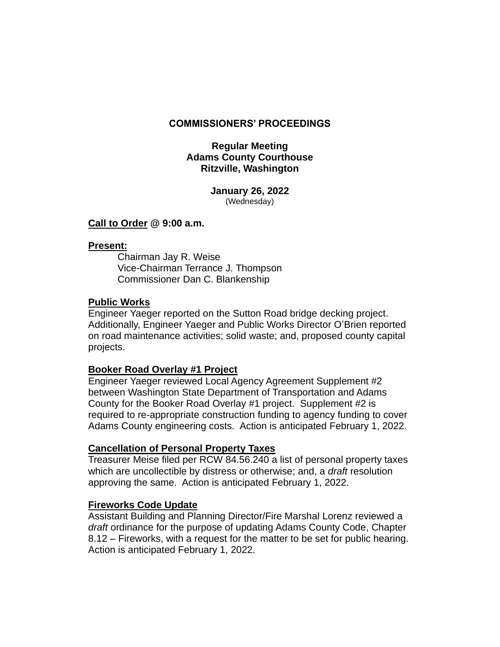### **COMMISSIONERS' PROCEEDINGS**

### **Regular Meeting Adams County Courthouse Ritzville, Washington**

**January 26, 2022** (Wednesday)

#### **Call to Order @ 9:00 a.m.**

#### **Present:**

Chairman Jay R. Weise Vice-Chairman Terrance J. Thompson Commissioner Dan C. Blankenship

#### **Public Works**

Engineer Yaeger reported on the Sutton Road bridge decking project. Additionally, Engineer Yaeger and Public Works Director O'Brien reported on road maintenance activities; solid waste; and, proposed county capital projects.

#### **Booker Road Overlay #1 Project**

Engineer Yaeger reviewed Local Agency Agreement Supplement #2 between Washington State Department of Transportation and Adams County for the Booker Road Overlay #1 project. Supplement #2 is required to re-appropriate construction funding to agency funding to cover Adams County engineering costs. Action is anticipated February 1, 2022.

#### **Cancellation of Personal Property Taxes**

Treasurer Meise filed per RCW 84.56.240 a list of personal property taxes which are uncollectible by distress or otherwise; and, a *draft* resolution approving the same. Action is anticipated February 1, 2022.

#### **Fireworks Code Update**

Assistant Building and Planning Director/Fire Marshal Lorenz reviewed a *draft* ordinance for the purpose of updating Adams County Code, Chapter 8.12 – Fireworks, with a request for the matter to be set for public hearing. Action is anticipated February 1, 2022.